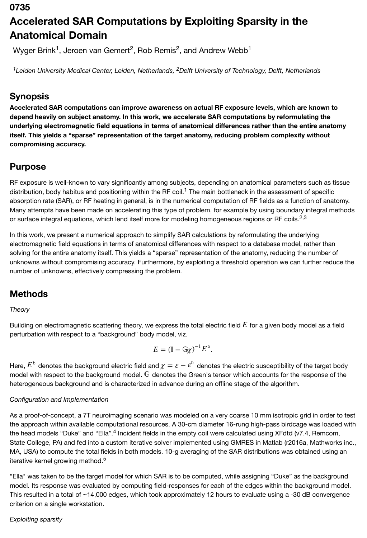### **0735**

# **Accelerated SAR Computations by Exploiting Sparsity in the Anatomical Domain**

Wyger Brink<sup>1</sup>, Jeroen van Gemert<sup>2</sup>, Rob Remis<sup>2</sup>, and Andrew Webb<sup>1</sup>

<sup>1</sup>Leiden University Medical Center, Leiden, Netherlands, <sup>2</sup>Delft University of Technology, Delft, Netherlands

### **Synopsis**

**Accelerated SAR computations can improve awareness on actual RF exposure levels, which are known to depend heavily on subject anatomy. In this work, we accelerate SAR computations by reformulating the underlying electromagnetic field equations in terms of anatomical differences rather than the entire anatomy itself. This yields a "sparse" representation of the target anatomy, reducing problem complexity without compromising accuracy.**

### **Purpose**

RF exposure is well-known to vary significantly among subjects, depending on anatomical parameters such as tissue distribution, body habitus and positioning within the RF coil.<sup>1</sup> The main bottleneck in the assessment of specific absorption rate (SAR), or RF heating in general, is in the numerical computation of RF fields as a function of anatomy. Many attempts have been made on accelerating this type of problem, for example by using boundary integral methods or surface integral equations, which lend itself more for modeling homogeneous regions or RF coils.<sup>2,3</sup>

In this work, we present a numerical approach to simplify SAR calculations by reformulating the underlying electromagnetic field equations in terms of anatomical differences with respect to a database model, rather than solving for the entire anatomy itself. This yields a "sparse" representation of the anatomy, reducing the number of unknowns without compromising accuracy. Furthermore, by exploiting a threshold operation we can further reduce the number of unknowns, effectively compressing the problem.

# **Methods**

#### *Theory*

Building on electromagnetic scattering theory, we express the total electric field  $E$  for a given body model as a field perturbation with respect to a "background" body model, viz.

$$
E = (\mathbb{I} - \mathbb{G}\chi)^{-1} E^{\mathsf{b}}.
$$

Here,  $E^{\tt b}$  denotes the background electric field and  $\chi=e-e^{\tt b}$  denotes the electric susceptibility of the target body model with respect to the background model.  $\mathbb G$  denotes the Green's tensor which accounts for the response of the heterogeneous background and is characterized in advance during an offline stage of the algorithm.

#### *Configuration and Implementation*

As a proof-of-concept, a 7T neuroimaging scenario was modeled on a very coarse 10 mm isotropic grid in order to test the approach within available computational resources. A 30-cm diameter 16-rung high-pass birdcage was loaded with the head models "Duke" and "Ella".<sup>4</sup> Incident fields in the empty coil were calculated using XFdtd (v7.4, Remcom, State College, PA) and fed into a custom iterative solver implemented using GMRES in Matlab (r2016a, Mathworks inc., MA, USA) to compute the total fields in both models. 10-g averaging of the SAR distributions was obtained using an iterative kernel growing method.<sup>5</sup>

"Ella" was taken to be the target model for which SAR is to be computed, while assigning "Duke" as the background model. Its response was evaluated by computing field-responses for each of the edges within the background model. This resulted in a total of ~14,000 edges, which took approximately 12 hours to evaluate using a -30 dB convergence criterion on a single workstation.

### *Exploiting sparsity*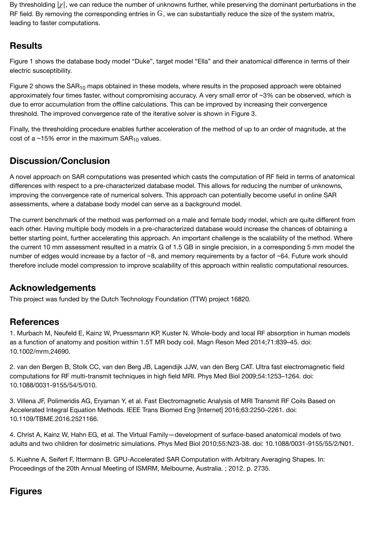By thresholding  $|\chi|$ , we can reduce the number of unknowns further, while preserving the dominant perturbations in the RF field. By removing the corresponding entries in  $\mathbb G$ , we can substantially reduce the size of the system matrix, leading to faster computations.

# **Results**

Figure 1 shows the database body model "Duke", target model "Ella" and their anatomical difference in terms of their electric susceptibility.

Figure 2 shows the SAR<sub>10</sub> maps obtained in these models, where results in the proposed approach were obtained approximately four times faster, without compromising accuracy. A very small error of ~3% can be observed, which is due to error accumulation from the offline calculations. This can be improved by increasing their convergence threshold. The improved convergence rate of the iterative solver is shown in Figure 3.

Finally, the thresholding procedure enables further acceleration of the method of up to an order of magnitude, at the cost of a ~15% error in the maximum  $\textsf{SAR}_{\textbf{10}}$  values.

# **Discussion/Conclusion**

A novel approach on SAR computations was presented which casts the computation of RF field in terms of anatomical differences with respect to a pre-characterized database model. This allows for reducing the number of unknowns, improving the convergence rate of numerical solvers. This approach can potentially become useful in online SAR assessments, where a database body model can serve as a background model.

The current benchmark of the method was performed on a male and female body model, which are quite different from each other. Having multiple body models in a pre-characterized database would increase the chances of obtaining a better starting point, further accelerating this approach. An important challenge is the scalability of the method. Where the current 10 mm assessment resulted in a matrix G of 1.5 GB in single precision, in a corresponding 5 mm model the number of edges would increase by a factor of ~8, and memory requirements by a factor of ~64. Future work should therefore include model compression to improve scalability of this approach within realistic computational resources.

# **Acknowledgements**

This project was funded by the Dutch Technology Foundation (TTW) project 16820.

# **References**

1. Murbach M, Neufeld E, Kainz W, Pruessmann KP, Kuster N. Whole-body and local RF absorption in human models as a function of anatomy and position within 1.5T MR body coil. Magn Reson Med 2014;71:839–45. doi: 10.1002/mrm.24690.

2. van den Bergen B, Stolk CC, van den Berg JB, Lagendijk JJW, van den Berg CAT. Ultra fast electromagnetic field computations for RF multi-transmit techniques in high field MRI. Phys Med Biol 2009;54:1253–1264. doi: 10.1088/0031-9155/54/5/010.

3. Villena JF, Polimeridis AG, Eryaman Y, et al. Fast Electromagnetic Analysis of MRI Transmit RF Coils Based on Accelerated Integral Equation Methods. IEEE Trans Biomed Eng [Internet] 2016;63:2250–2261. doi: 10.1109/TBME.2016.2521166.

4. Christ A, Kainz W, Hahn EG, et al. The Virtual Family—development of surface-based anatomical models of two adults and two children for dosimetric simulations. Phys Med Biol 2010;55:N23-38. doi: 10.1088/0031-9155/55/2/N01.

5. Kuehne A, Seifert F, Ittermann B. GPU-Accelerated SAR Computation with Arbitrary Averaging Shapes. In: Proceedings of the 20th Annual Meeting of ISMRM, Melbourne, Australia. ; 2012. p. 2735.

# **Figures**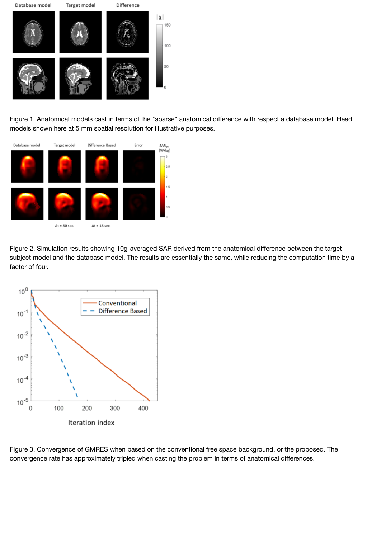

[Figure 1. Anatomical models cast in terms of the "sparse](https://index.mirasmart.com/ISMRM2019/PDFfiles/images/6984/ISMRM2019-006984_Fig1.png)" anatomical difference with respect a database model. Head models shown here at 5 mm spatial resolution for illustrative purposes.



[Figure 2. Simulation results showing 10g-averaged SAR](https://index.mirasmart.com/ISMRM2019/PDFfiles/images/6984/ISMRM2019-006984_Fig2.png) derived from the anatomical difference between the target subject model and the database model. The results are essentially the same, while reducing the computation time by a factor of four.



[Figure 3. Convergence of GMRES when based on the co](https://index.mirasmart.com/ISMRM2019/PDFfiles/images/6984/ISMRM2019-006984_Fig3.png)nventional free space background, or the proposed. The convergence rate has approximately tripled when casting the problem in terms of anatomical differences.